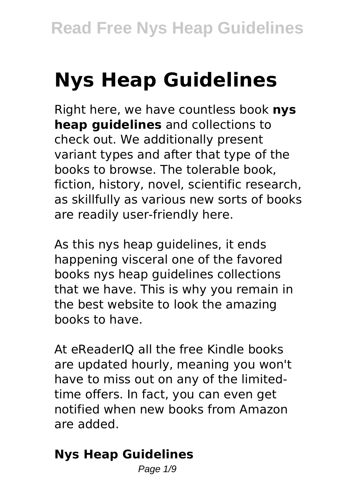# **Nys Heap Guidelines**

Right here, we have countless book **nys heap guidelines** and collections to check out. We additionally present variant types and after that type of the books to browse. The tolerable book, fiction, history, novel, scientific research, as skillfully as various new sorts of books are readily user-friendly here.

As this nys heap guidelines, it ends happening visceral one of the favored books nys heap guidelines collections that we have. This is why you remain in the best website to look the amazing books to have.

At eReaderIQ all the free Kindle books are updated hourly, meaning you won't have to miss out on any of the limitedtime offers. In fact, you can even get notified when new books from Amazon are added.

# **Nys Heap Guidelines**

Page  $1/9$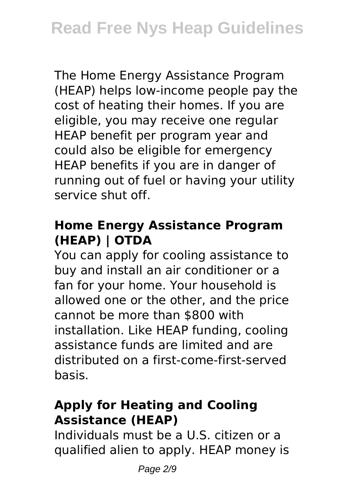The Home Energy Assistance Program (HEAP) helps low-income people pay the cost of heating their homes. If you are eligible, you may receive one regular HEAP benefit per program year and could also be eligible for emergency HEAP benefits if you are in danger of running out of fuel or having your utility service shut off.

# **Home Energy Assistance Program (HEAP) | OTDA**

You can apply for cooling assistance to buy and install an air conditioner or a fan for your home. Your household is allowed one or the other, and the price cannot be more than \$800 with installation. Like HEAP funding, cooling assistance funds are limited and are distributed on a first-come-first-served basis.

# **Apply for Heating and Cooling Assistance (HEAP)**

Individuals must be a U.S. citizen or a qualified alien to apply. HEAP money is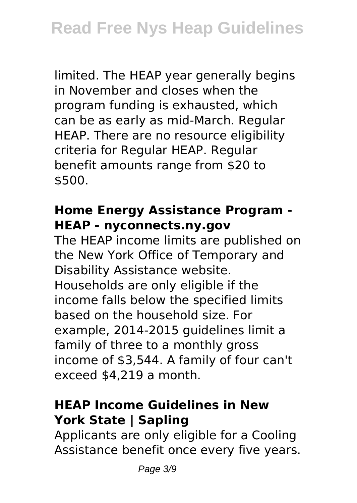limited. The HEAP year generally begins in November and closes when the program funding is exhausted, which can be as early as mid-March. Regular HEAP. There are no resource eligibility criteria for Regular HEAP. Regular benefit amounts range from \$20 to \$500.

#### **Home Energy Assistance Program - HEAP - nyconnects.ny.gov**

The HEAP income limits are published on the New York Office of Temporary and Disability Assistance website. Households are only eligible if the income falls below the specified limits based on the household size. For example, 2014-2015 guidelines limit a family of three to a monthly gross income of \$3,544. A family of four can't exceed \$4,219 a month.

#### **HEAP Income Guidelines in New York State | Sapling**

Applicants are only eligible for a Cooling Assistance benefit once every five years.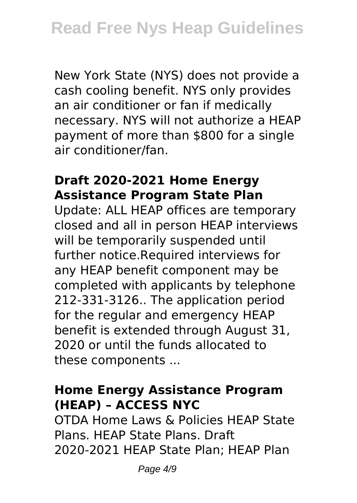New York State (NYS) does not provide a cash cooling benefit. NYS only provides an air conditioner or fan if medically necessary. NYS will not authorize a HEAP payment of more than \$800 for a single air conditioner/fan.

#### **Draft 2020-2021 Home Energy Assistance Program State Plan**

Update: ALL HEAP offices are temporary closed and all in person HEAP interviews will be temporarily suspended until further notice.Required interviews for any HEAP benefit component may be completed with applicants by telephone 212-331-3126.. The application period for the regular and emergency HEAP benefit is extended through August 31, 2020 or until the funds allocated to these components ...

#### **Home Energy Assistance Program (HEAP) – ACCESS NYC**

OTDA Home Laws & Policies HEAP State Plans. HEAP State Plans. Draft 2020-2021 HEAP State Plan; HEAP Plan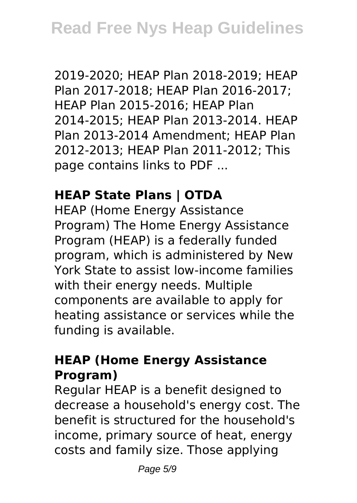2019-2020; HEAP Plan 2018-2019; HEAP Plan 2017-2018; HEAP Plan 2016-2017; HEAP Plan 2015-2016; HEAP Plan 2014-2015; HEAP Plan 2013-2014. HEAP Plan 2013-2014 Amendment; HEAP Plan 2012-2013; HEAP Plan 2011-2012; This page contains links to PDF ...

# **HEAP State Plans | OTDA**

HEAP (Home Energy Assistance Program) The Home Energy Assistance Program (HEAP) is a federally funded program, which is administered by New York State to assist low-income families with their energy needs. Multiple components are available to apply for heating assistance or services while the funding is available.

#### **HEAP (Home Energy Assistance Program)**

Regular HEAP is a benefit designed to decrease a household's energy cost. The benefit is structured for the household's income, primary source of heat, energy costs and family size. Those applying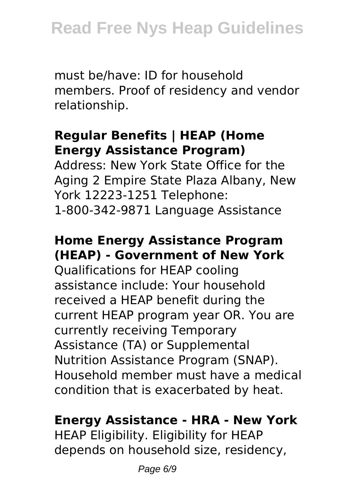must be/have: ID for household members. Proof of residency and vendor relationship.

# **Regular Benefits | HEAP (Home Energy Assistance Program)**

Address: New York State Office for the Aging 2 Empire State Plaza Albany, New York 12223-1251 Telephone: 1-800-342-9871 Language Assistance

# **Home Energy Assistance Program (HEAP) - Government of New York**

Qualifications for HEAP cooling assistance include: Your household received a HEAP benefit during the current HEAP program year OR. You are currently receiving Temporary Assistance (TA) or Supplemental Nutrition Assistance Program (SNAP). Household member must have a medical condition that is exacerbated by heat.

# **Energy Assistance - HRA - New York**

HEAP Eligibility. Eligibility for HEAP depends on household size, residency,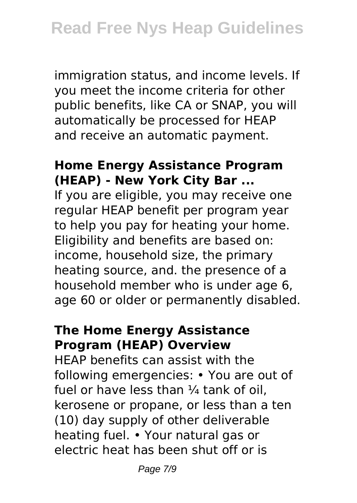immigration status, and income levels. If you meet the income criteria for other public benefits, like CA or SNAP, you will automatically be processed for HEAP and receive an automatic payment.

#### **Home Energy Assistance Program (HEAP) - New York City Bar ...**

If you are eligible, you may receive one regular HEAP benefit per program year to help you pay for heating your home. Eligibility and benefits are based on: income, household size, the primary heating source, and. the presence of a household member who is under age 6, age 60 or older or permanently disabled.

#### **The Home Energy Assistance Program (HEAP) Overview**

HEAP benefits can assist with the following emergencies: • You are out of fuel or have less than  $\frac{1}{4}$  tank of oil. kerosene or propane, or less than a ten (10) day supply of other deliverable heating fuel. • Your natural gas or electric heat has been shut off or is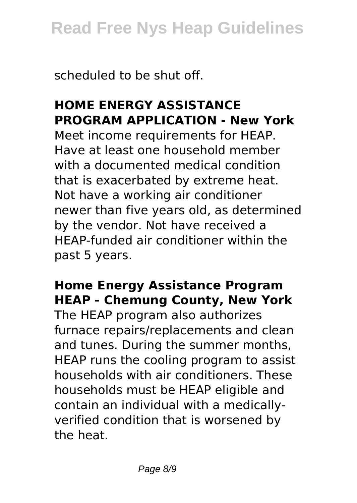scheduled to be shut off.

# **HOME ENERGY ASSISTANCE PROGRAM APPLICATION - New York**

Meet income requirements for HEAP. Have at least one household member with a documented medical condition that is exacerbated by extreme heat. Not have a working air conditioner newer than five years old, as determined by the vendor. Not have received a HEAP-funded air conditioner within the past 5 years.

# **Home Energy Assistance Program HEAP - Chemung County, New York**

The HEAP program also authorizes furnace repairs/replacements and clean and tunes. During the summer months, HEAP runs the cooling program to assist households with air conditioners. These households must be HEAP eligible and contain an individual with a medicallyverified condition that is worsened by the heat.